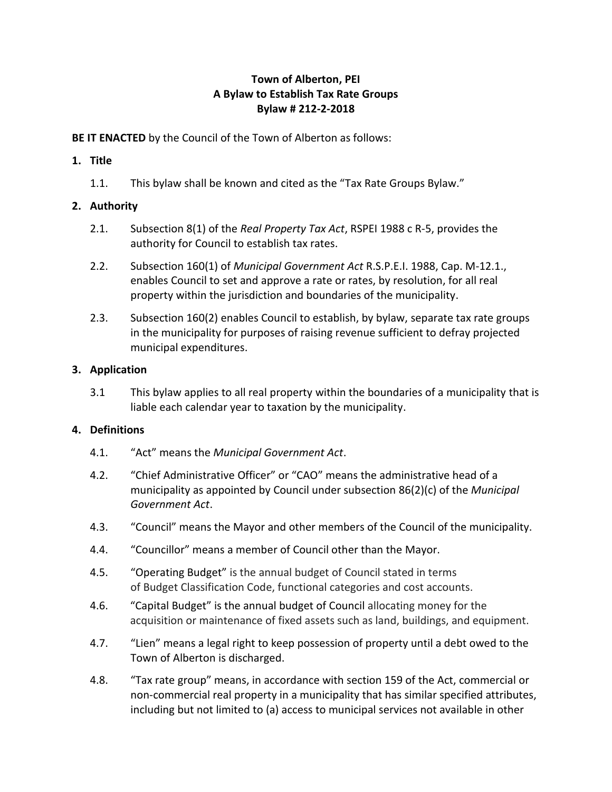# **Town of Alberton, PEI A Bylaw to Establish Tax Rate Groups Bylaw # 212-2-2018**

**BE IT ENACTED** by the Council of the Town of Alberton as follows:

# **1. Title**

1.1. This bylaw shall be known and cited as the "Tax Rate Groups Bylaw."

# **2. Authority**

- 2.1. Subsection 8(1) of the *Real Property Tax Act*, RSPEI 1988 c R-5, provides the authority for Council to establish tax rates.
- 2.2. Subsection 160(1) of *Municipal Government Act* R.S.P.E.I. 1988, Cap. M-12.1., enables Council to set and approve a rate or rates, by resolution, for all real property within the jurisdiction and boundaries of the municipality.
- 2.3. Subsection 160(2) enables Council to establish, by bylaw, separate tax rate groups in the municipality for purposes of raising revenue sufficient to defray projected municipal expenditures.

# **3. Application**

3.1 This bylaw applies to all real property within the boundaries of a municipality that is liable each calendar year to taxation by the municipality.

## **4. Definitions**

- 4.1. "Act" means the *Municipal Government Act*.
- 4.2. "Chief Administrative Officer" or "CAO" means the administrative head of a municipality as appointed by Council under subsection 86(2)(c) of the *Municipal Government Act*.
- 4.3. "Council" means the Mayor and other members of the Council of the municipality.
- 4.4. "Councillor" means a member of Council other than the Mayor.
- 4.5. "Operating Budget" is the annual budget of Council stated in terms of Budget Classification Code, functional categories and cost accounts.
- 4.6. "Capital Budget" is the annual budget of Council allocating money for the acquisition or maintenance of fixed assets such as land, buildings, and equipment.
- 4.7. "Lien" means a legal right to keep possession of property until a debt owed to the Town of Alberton is discharged.
- 4.8. "Tax rate group" means, in accordance with section 159 of the Act, commercial or non-commercial real property in a municipality that has similar specified attributes, including but not limited to (a) access to municipal services not available in other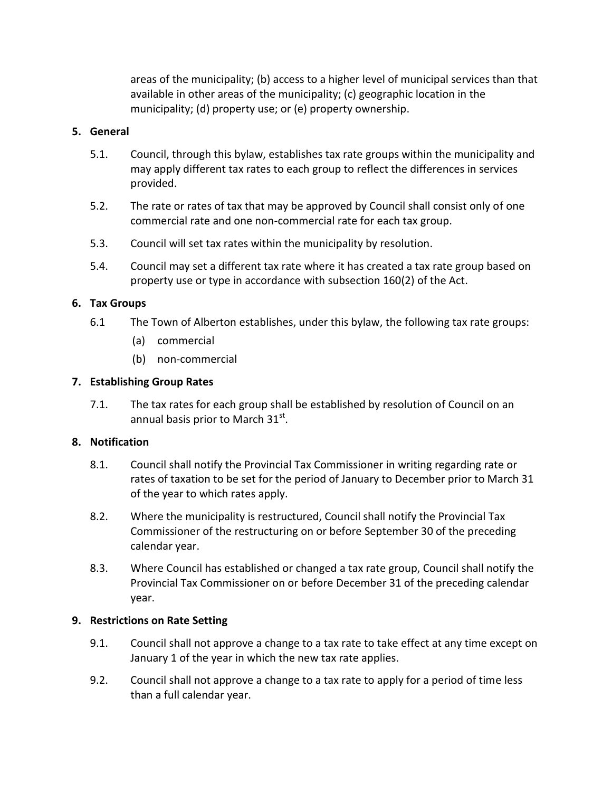areas of the municipality; (b) access to a higher level of municipal services than that available in other areas of the municipality; (c) geographic location in the municipality; (d) property use; or (e) property ownership.

## **5. General**

- 5.1. Council, through this bylaw, establishes tax rate groups within the municipality and may apply different tax rates to each group to reflect the differences in services provided.
- 5.2. The rate or rates of tax that may be approved by Council shall consist only of one commercial rate and one non-commercial rate for each tax group.
- 5.3. Council will set tax rates within the municipality by resolution.
- 5.4. Council may set a different tax rate where it has created a tax rate group based on property use or type in accordance with subsection 160(2) of the Act.

## **6. Tax Groups**

- 6.1 The Town of Alberton establishes, under this bylaw, the following tax rate groups:
	- (a) commercial
	- (b) non-commercial

#### **7. Establishing Group Rates**

7.1. The tax rates for each group shall be established by resolution of Council on an annual basis prior to March 31 $^{\rm st}$ .

#### **8. Notification**

- 8.1. Council shall notify the Provincial Tax Commissioner in writing regarding rate or rates of taxation to be set for the period of January to December prior to March 31 of the year to which rates apply.
- 8.2. Where the municipality is restructured, Council shall notify the Provincial Tax Commissioner of the restructuring on or before September 30 of the preceding calendar year.
- 8.3. Where Council has established or changed a tax rate group, Council shall notify the Provincial Tax Commissioner on or before December 31 of the preceding calendar year.

#### **9. Restrictions on Rate Setting**

- 9.1. Council shall not approve a change to a tax rate to take effect at any time except on January 1 of the year in which the new tax rate applies.
- 9.2. Council shall not approve a change to a tax rate to apply for a period of time less than a full calendar year.